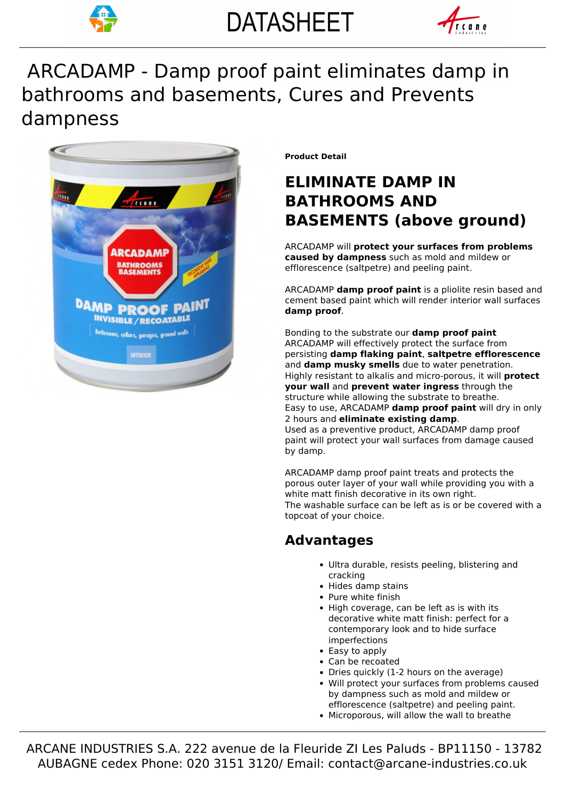



# bathrooms and basements, Cures and Prevents ARCADAMP - Damp proof paint eliminates damp in dampness



**Product Detail**

# **ELIMINATE DAMP IN BATHROOMS AND BASEMENTS (above ground)**

ARCADAMP will **protect your surfaces from problems caused by dampness** such as mold and mildew or efflorescence (saltpetre) and peeling paint.

ARCADAMP **damp proof paint** is a pliolite resin based and cement based paint which will render interior wall surfaces **damp proof**.

Bonding to the substrate our **damp proof paint** ARCADAMP will effectively protect the surface from persisting **damp flaking paint**, **saltpetre efflorescence** and **damp musky smells** due to water penetration. Highly resistant to alkalis and micro-porous, it will **protect your wall** and **prevent water ingress** through the structure while allowing the substrate to breathe. Easy to use, ARCADAMP **damp proof paint** will dry in only 2 hours and **eliminate existing damp**. Used as a preventive product, ARCADAMP damp proof paint will protect your wall surfaces from damage caused by damp.

ARCADAMP damp proof paint treats and protects the porous outer layer of your wall while providing you with a white matt finish decorative in its own right. The washable surface can be left as is or be covered with a topcoat of your choice.

## **Advantages**

- Ultra durable, resists peeling, blistering and cracking
- Hides damp stains
- Pure white finish
- High coverage, can be left as is with its decorative white matt finish: perfect for a contemporary look and to hide surface imperfections
- Easy to apply
- Can be recoated
- Dries quickly (1-2 hours on the average) Will protect your surfaces from problems caused by dampness such as mold and mildew or efflorescence (saltpetre) and peeling paint.
- Microporous, will allow the wall to breathe

 ARCANE INDUSTRIES S.A. 222 avenue de la Fleuride ZI Les Paluds - BP11150 - 13782 AUBAGNE cedex Phone: 020 3151 3120/ Email: contact@arcane-industries.co.uk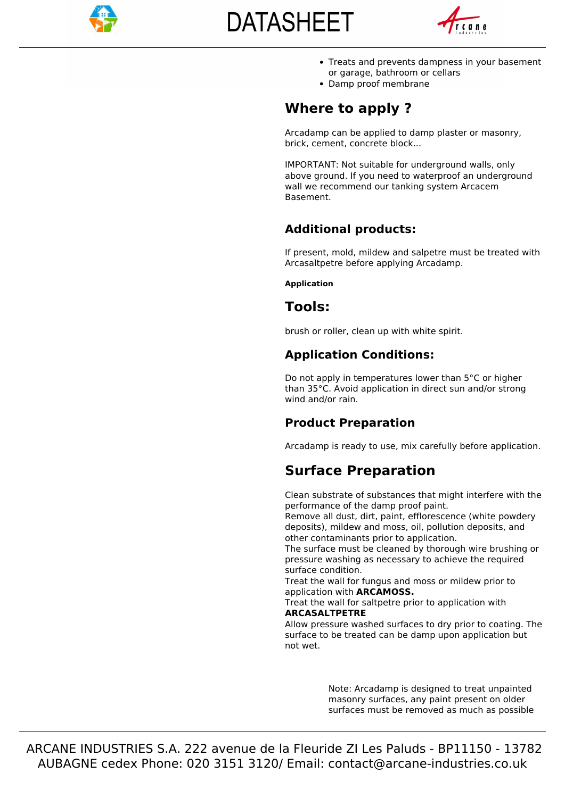

# **DATASHEET**



- Treats and prevents dampness in your basement or garage, bathroom or cellars
- Damp proof membrane

#### **Where to apply ?**

Arcadamp can be applied to damp plaster or masonry, brick, cement, concrete block...

IMPORTANT: Not suitable for underground walls, only above ground. If you need to waterproof an underground wall we recommend our tanking system Arcacem Basement.

#### **Additional products:**

If present, mold, mildew and salpetre must be treated with Arcasaltpetre before applying Arcadamp.

#### **Application**

#### **Tools:**

brush or roller, clean up with white spirit.

#### **Application Conditions:**

Do not apply in temperatures lower than 5°C or higher than 35°C. Avoid application in direct sun and/or strong wind and/or rain.

#### **Product Preparation**

Arcadamp is ready to use, mix carefully before application.

## **Surface Preparation**

Clean substrate of substances that might interfere with the performance of the damp proof paint.

Remove all dust, dirt, paint, efflorescence (white powdery deposits), mildew and moss, oil, pollution deposits, and other contaminants prior to application.

The surface must be cleaned by thorough wire brushing or pressure washing as necessary to achieve the required surface condition.

Treat the wall for fungus and moss or mildew prior to application with **ARCAMOSS.**

Treat the wall for saltpetre prior to application with **ARCASALTPETRE**

Allow pressure washed surfaces to dry prior to coating. The surface to be treated can be damp upon application but not wet.

> Note: Arcadamp is designed to treat unpainted masonry surfaces, any paint present on older surfaces must be removed as much as possible